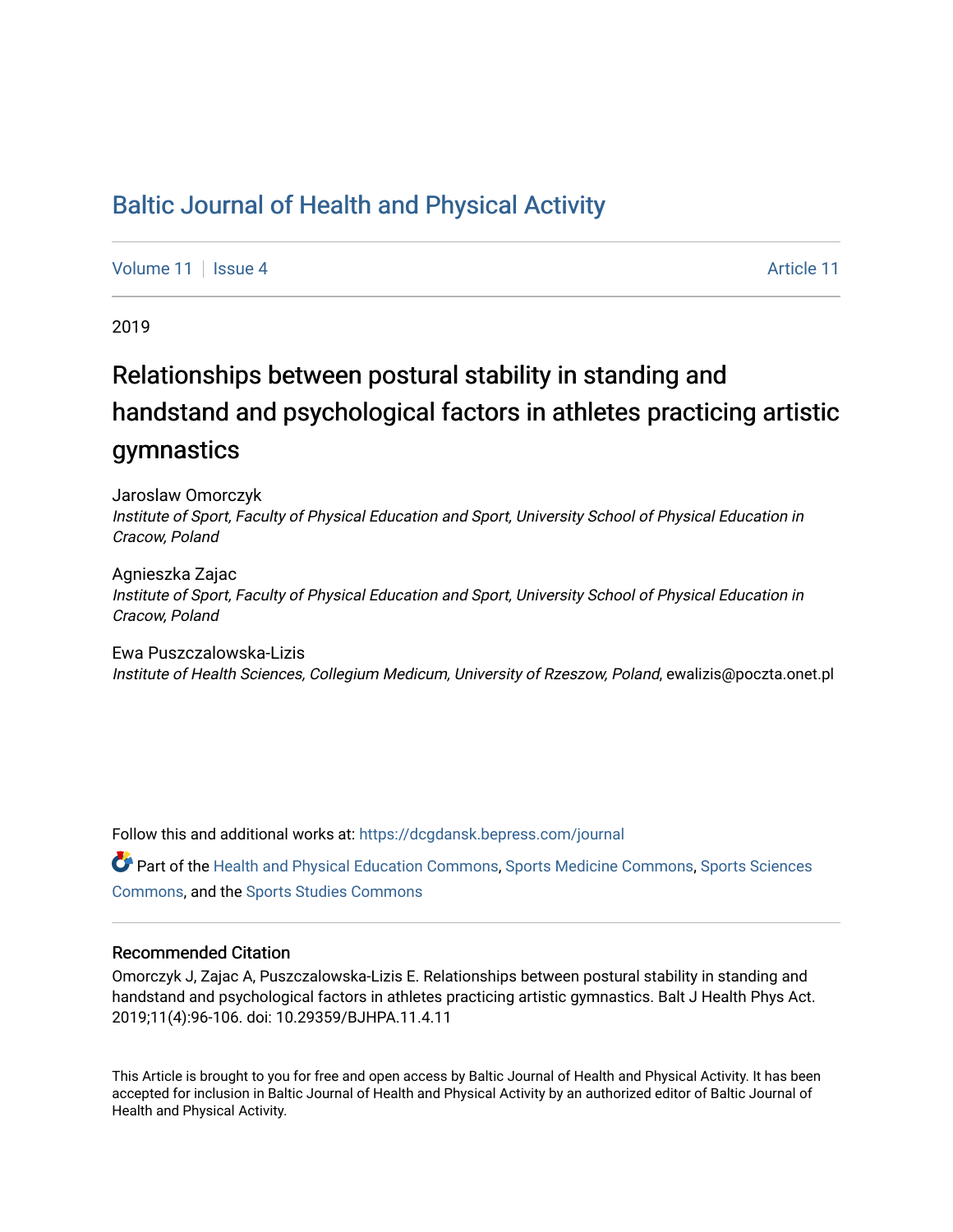## [Baltic Journal of Health and Physical Activity](https://dcgdansk.bepress.com/journal)

[Volume 11](https://dcgdansk.bepress.com/journal/vol11) | [Issue 4](https://dcgdansk.bepress.com/journal/vol11/iss4) [Article 11](https://dcgdansk.bepress.com/journal/vol11/iss4/11) | Article 11 | Article 11 | Article 11 | Article 11

2019

# Relationships between postural stability in standing and handstand and psychological factors in athletes practicing artistic gymnastics

Jaroslaw Omorczyk Institute of Sport, Faculty of Physical Education and Sport, University School of Physical Education in Cracow, Poland

Agnieszka Zajac Institute of Sport, Faculty of Physical Education and Sport, University School of Physical Education in Cracow, Poland

Ewa Puszczalowska-Lizis Institute of Health Sciences, Collegium Medicum, University of Rzeszow, Poland, ewalizis@poczta.onet.pl

Follow this and additional works at: [https://dcgdansk.bepress.com/journal](https://dcgdansk.bepress.com/journal?utm_source=dcgdansk.bepress.com%2Fjournal%2Fvol11%2Fiss4%2F11&utm_medium=PDF&utm_campaign=PDFCoverPages)

Part of the [Health and Physical Education Commons](http://network.bepress.com/hgg/discipline/1327?utm_source=dcgdansk.bepress.com%2Fjournal%2Fvol11%2Fiss4%2F11&utm_medium=PDF&utm_campaign=PDFCoverPages), [Sports Medicine Commons,](http://network.bepress.com/hgg/discipline/1331?utm_source=dcgdansk.bepress.com%2Fjournal%2Fvol11%2Fiss4%2F11&utm_medium=PDF&utm_campaign=PDFCoverPages) [Sports Sciences](http://network.bepress.com/hgg/discipline/759?utm_source=dcgdansk.bepress.com%2Fjournal%2Fvol11%2Fiss4%2F11&utm_medium=PDF&utm_campaign=PDFCoverPages) [Commons](http://network.bepress.com/hgg/discipline/759?utm_source=dcgdansk.bepress.com%2Fjournal%2Fvol11%2Fiss4%2F11&utm_medium=PDF&utm_campaign=PDFCoverPages), and the [Sports Studies Commons](http://network.bepress.com/hgg/discipline/1198?utm_source=dcgdansk.bepress.com%2Fjournal%2Fvol11%2Fiss4%2F11&utm_medium=PDF&utm_campaign=PDFCoverPages) 

#### Recommended Citation

Omorczyk J, Zajac A, Puszczalowska-Lizis E. Relationships between postural stability in standing and handstand and psychological factors in athletes practicing artistic gymnastics. Balt J Health Phys Act. 2019;11(4):96-106. doi: 10.29359/BJHPA.11.4.11

This Article is brought to you for free and open access by Baltic Journal of Health and Physical Activity. It has been accepted for inclusion in Baltic Journal of Health and Physical Activity by an authorized editor of Baltic Journal of Health and Physical Activity.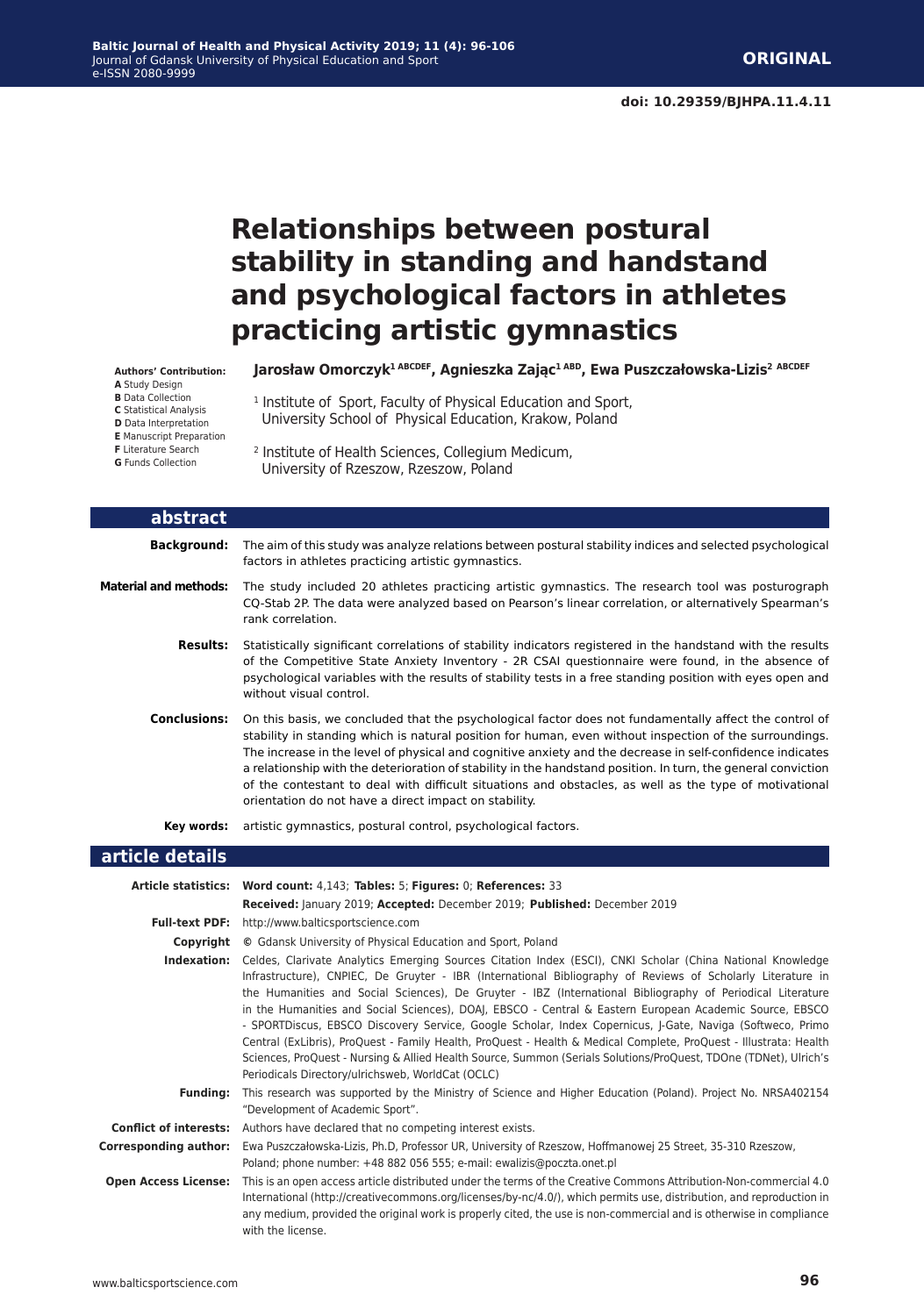## **Relationships between postural stability in standing and handstand and psychological factors in athletes practicing artistic gymnastics**

**Authors' Contribution:**

- **A** Study Design
- **B** Data Collection
- **C** Statistical Analysis
- **D** Data Interpretation
- **E** Manuscript Preparation **F** Literature Search
- **G** Funds Collection
- 

**Jarosław Omorczyk1 ABCDEF, Agnieszka Zając1 ABD, Ewa Puszczałowska-Lizis<sup>2</sup> ABCDEF**

- <sup>1</sup> Institute of Sport, Faculty of Physical Education and Sport, University School of Physical Education, Krakow, Poland
- 2 Institute of Health Sciences, Collegium Medicum, University of Rzeszow, Rzeszow, Poland

| abstract                     |                                                                                                                                                                                                                                                                                                                                                                                                                                                                                                                                                                                                                    |
|------------------------------|--------------------------------------------------------------------------------------------------------------------------------------------------------------------------------------------------------------------------------------------------------------------------------------------------------------------------------------------------------------------------------------------------------------------------------------------------------------------------------------------------------------------------------------------------------------------------------------------------------------------|
| <b>Background:</b>           | The aim of this study was analyze relations between postural stability indices and selected psychological<br>factors in athletes practicing artistic gymnastics.                                                                                                                                                                                                                                                                                                                                                                                                                                                   |
| <b>Material and methods:</b> | The study included 20 athletes practicing artistic gymnastics. The research tool was posturograph<br>CQ-Stab 2P. The data were analyzed based on Pearson's linear correlation, or alternatively Spearman's<br>rank correlation.                                                                                                                                                                                                                                                                                                                                                                                    |
| <b>Results:</b>              | Statistically significant correlations of stability indicators registered in the handstand with the results<br>of the Competitive State Anxiety Inventory - 2R CSAI questionnaire were found, in the absence of<br>psychological variables with the results of stability tests in a free standing position with eyes open and<br>without visual control.                                                                                                                                                                                                                                                           |
| <b>Conclusions:</b>          | On this basis, we concluded that the psychological factor does not fundamentally affect the control of<br>stability in standing which is natural position for human, even without inspection of the surroundings.<br>The increase in the level of physical and cognitive anxiety and the decrease in self-confidence indicates<br>a relationship with the deterioration of stability in the handstand position. In turn, the general conviction<br>of the contestant to deal with difficult situations and obstacles, as well as the type of motivational<br>orientation do not have a direct impact on stability. |
| Key words:                   | artistic gymnastics, postural control, psychological factors.                                                                                                                                                                                                                                                                                                                                                                                                                                                                                                                                                      |

#### **article details**

|                              | Article statistics: Word count: 4,143; Tables: 5; Figures: 0; References: 33                                                                                                                                                                                                                                                                                                                                                                                                                                                                                                                                                                                                                                                                                                                                                                                  |
|------------------------------|---------------------------------------------------------------------------------------------------------------------------------------------------------------------------------------------------------------------------------------------------------------------------------------------------------------------------------------------------------------------------------------------------------------------------------------------------------------------------------------------------------------------------------------------------------------------------------------------------------------------------------------------------------------------------------------------------------------------------------------------------------------------------------------------------------------------------------------------------------------|
|                              | Received: January 2019; Accepted: December 2019; Published: December 2019                                                                                                                                                                                                                                                                                                                                                                                                                                                                                                                                                                                                                                                                                                                                                                                     |
|                              | Full-text PDF: http://www.balticsportscience.com                                                                                                                                                                                                                                                                                                                                                                                                                                                                                                                                                                                                                                                                                                                                                                                                              |
| Copyright                    | © Gdansk University of Physical Education and Sport, Poland                                                                                                                                                                                                                                                                                                                                                                                                                                                                                                                                                                                                                                                                                                                                                                                                   |
| Indexation:                  | Celdes, Clarivate Analytics Emerging Sources Citation Index (ESCI), CNKI Scholar (China National Knowledge<br>Infrastructure), CNPIEC, De Gruyter - IBR (International Bibliography of Reviews of Scholarly Literature in<br>the Humanities and Social Sciences), De Gruyter - IBZ (International Bibliography of Periodical Literature<br>in the Humanities and Social Sciences), DOAJ, EBSCO - Central & Eastern European Academic Source, EBSCO<br>- SPORTDiscus, EBSCO Discovery Service, Google Scholar, Index Copernicus, J-Gate, Naviga (Softweco, Primo<br>Central (ExLibris), ProQuest - Family Health, ProQuest - Health & Medical Complete, ProQuest - Illustrata: Health<br>Sciences, ProQuest - Nursing & Allied Health Source, Summon (Serials Solutions/ProQuest, TDOne (TDNet), Ulrich's<br>Periodicals Directory/ulrichsweb, WorldCat (OCLC) |
| <b>Funding:</b>              | This research was supported by the Ministry of Science and Higher Education (Poland). Project No. NRSA402154<br>"Development of Academic Sport".                                                                                                                                                                                                                                                                                                                                                                                                                                                                                                                                                                                                                                                                                                              |
|                              | <b>Conflict of interests:</b> Authors have declared that no competing interest exists.                                                                                                                                                                                                                                                                                                                                                                                                                                                                                                                                                                                                                                                                                                                                                                        |
| <b>Corresponding author:</b> | Ewa Puszczałowska-Lizis, Ph.D, Professor UR, University of Rzeszow, Hoffmanowej 25 Street, 35-310 Rzeszow,<br>Poland; phone number: +48 882 056 555; e-mail: ewalizis@poczta.onet.pl                                                                                                                                                                                                                                                                                                                                                                                                                                                                                                                                                                                                                                                                          |
| <b>Open Access License:</b>  | This is an open access article distributed under the terms of the Creative Commons Attribution-Non-commercial 4.0<br>International (http://creativecommons.org/licenses/by-nc/4.0/), which permits use, distribution, and reproduction in<br>any medium, provided the original work is properly cited, the use is non-commercial and is otherwise in compliance<br>with the license.                                                                                                                                                                                                                                                                                                                                                                                                                                                                          |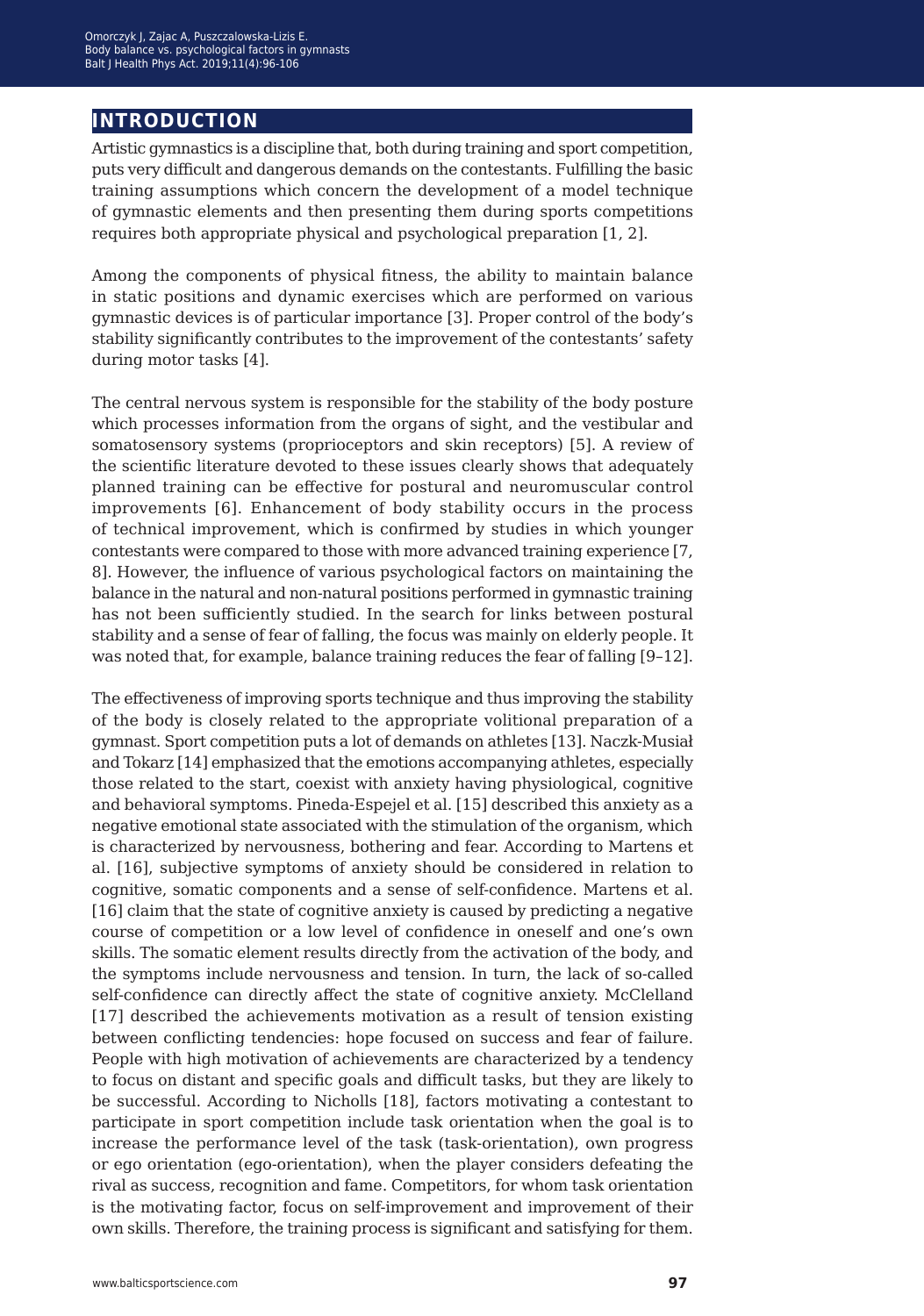### **introduction**

Artistic gymnastics is a discipline that, both during training and sport competition, puts very difficult and dangerous demands on the contestants. Fulfilling the basic training assumptions which concern the development of a model technique of gymnastic elements and then presenting them during sports competitions requires both appropriate physical and psychological preparation [1, 2].

Among the components of physical fitness, the ability to maintain balance in static positions and dynamic exercises which are performed on various gymnastic devices is of particular importance [3]. Proper control of the body's stability significantly contributes to the improvement of the contestants' safety during motor tasks [4].

The central nervous system is responsible for the stability of the body posture which processes information from the organs of sight, and the vestibular and somatosensory systems (proprioceptors and skin receptors) [5]. A review of the scientific literature devoted to these issues clearly shows that adequately planned training can be effective for postural and neuromuscular control improvements [6]. Enhancement of body stability occurs in the process of technical improvement, which is confirmed by studies in which younger contestants were compared to those with more advanced training experience [7, 8]. However, the influence of various psychological factors on maintaining the balance in the natural and non-natural positions performed in gymnastic training has not been sufficiently studied. In the search for links between postural stability and a sense of fear of falling, the focus was mainly on elderly people. It was noted that, for example, balance training reduces the fear of falling [9-12].

The effectiveness of improving sports technique and thus improving the stability of the body is closely related to the appropriate volitional preparation of a gymnast. Sport competition puts a lot of demands on athletes [13]. Naczk-Musiał and Tokarz [14] emphasized that the emotions accompanying athletes, especially those related to the start, coexist with anxiety having physiological, cognitive and behavioral symptoms. Pineda-Espejel et al. [15] described this anxiety as a negative emotional state associated with the stimulation of the organism, which is characterized by nervousness, bothering and fear. According to Martens et al. [16], subjective symptoms of anxiety should be considered in relation to cognitive, somatic components and a sense of self-confidence. Martens et al. [16] claim that the state of cognitive anxiety is caused by predicting a negative course of competition or a low level of confidence in oneself and one's own skills. The somatic element results directly from the activation of the body, and the symptoms include nervousness and tension. In turn, the lack of so-called self-confidence can directly affect the state of cognitive anxiety. McClelland [17] described the achievements motivation as a result of tension existing between conflicting tendencies: hope focused on success and fear of failure. People with high motivation of achievements are characterized by a tendency to focus on distant and specific goals and difficult tasks, but they are likely to be successful. According to Nicholls [18], factors motivating a contestant to participate in sport competition include task orientation when the goal is to increase the performance level of the task (task-orientation), own progress or ego orientation (ego-orientation), when the player considers defeating the rival as success, recognition and fame. Competitors, for whom task orientation is the motivating factor, focus on self-improvement and improvement of their own skills. Therefore, the training process is significant and satisfying for them.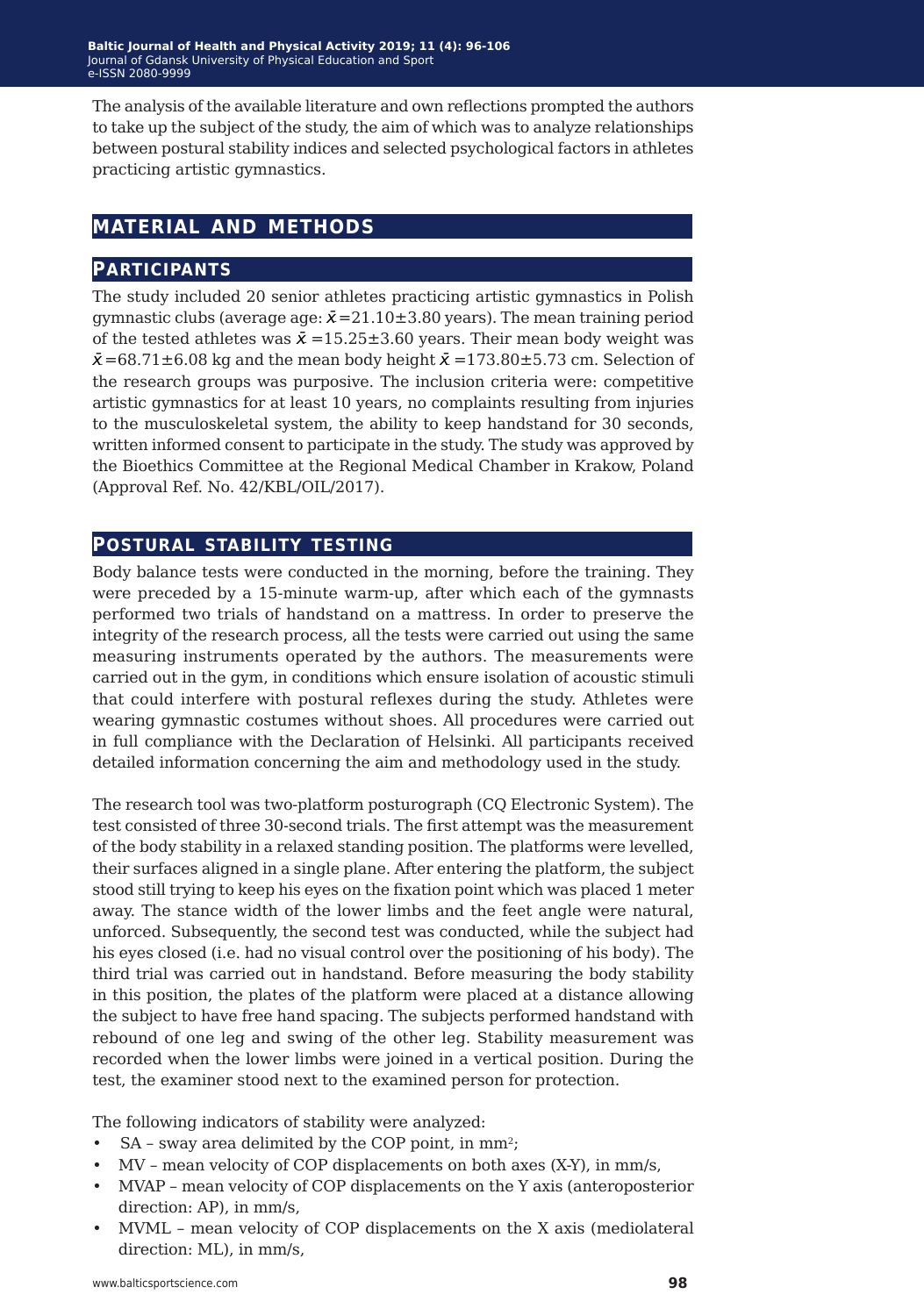The analysis of the available literature and own reflections prompted the authors to take up the subject of the study, the aim of which was to analyze relationships between postural stability indices and selected psychological factors in athletes practicing artistic gymnastics.

### **material and methods**

#### **participants**

The study included 20 senior athletes practicing artistic gymnastics in Polish gymnastic clubs (average age:  $\bar{x}$  = 21.10 ± 3.80 years). The mean training period of the tested athletes was  $\bar{x}$  =15.25±3.60 years. Their mean body weight was  $\bar{x}$ =68.71±6.08 kg and the mean body height  $\bar{x}$  =173.80±5.73 cm. Selection of the research groups was purposive. The inclusion criteria were: competitive artistic gymnastics for at least 10 years, no complaints resulting from injuries to the musculoskeletal system, the ability to keep handstand for 30 seconds, written informed consent to participate in the study. The study was approved by the Bioethics Committee at the Regional Medical Chamber in Krakow, Poland (Approval Ref. No. 42/KBL/OIL/2017).

#### **postural stability testing**

Body balance tests were conducted in the morning, before the training. They were preceded by a 15-minute warm-up, after which each of the gymnasts performed two trials of handstand on a mattress. In order to preserve the integrity of the research process, all the tests were carried out using the same measuring instruments operated by the authors. The measurements were carried out in the gym, in conditions which ensure isolation of acoustic stimuli that could interfere with postural reflexes during the study. Athletes were wearing gymnastic costumes without shoes. All procedures were carried out in full compliance with the Declaration of Helsinki. All participants received detailed information concerning the aim and methodology used in the study.

The research tool was two-platform posturograph (CQ Electronic System). The test consisted of three 30-second trials. The first attempt was the measurement of the body stability in a relaxed standing position. The platforms were levelled, their surfaces aligned in a single plane. After entering the platform, the subject stood still trying to keep his eyes on the fixation point which was placed 1 meter away. The stance width of the lower limbs and the feet angle were natural, unforced. Subsequently, the second test was conducted, while the subject had his eyes closed (i.e. had no visual control over the positioning of his body). The third trial was carried out in handstand. Before measuring the body stability in this position, the plates of the platform were placed at a distance allowing the subject to have free hand spacing. The subjects performed handstand with rebound of one leg and swing of the other leg. Stability measurement was recorded when the lower limbs were joined in a vertical position. During the test, the examiner stood next to the examined person for protection.

The following indicators of stability were analyzed:

- SA sway area delimited by the COP point, in mm<sup>2</sup>;
- MV mean velocity of COP displacements on both axes (X-Y), in mm/s,
- MVAP mean velocity of COP displacements on the Y axis (anteroposterior direction: AP), in mm/s,
- MVML mean velocity of COP displacements on the X axis (mediolateral direction: ML), in mm/s,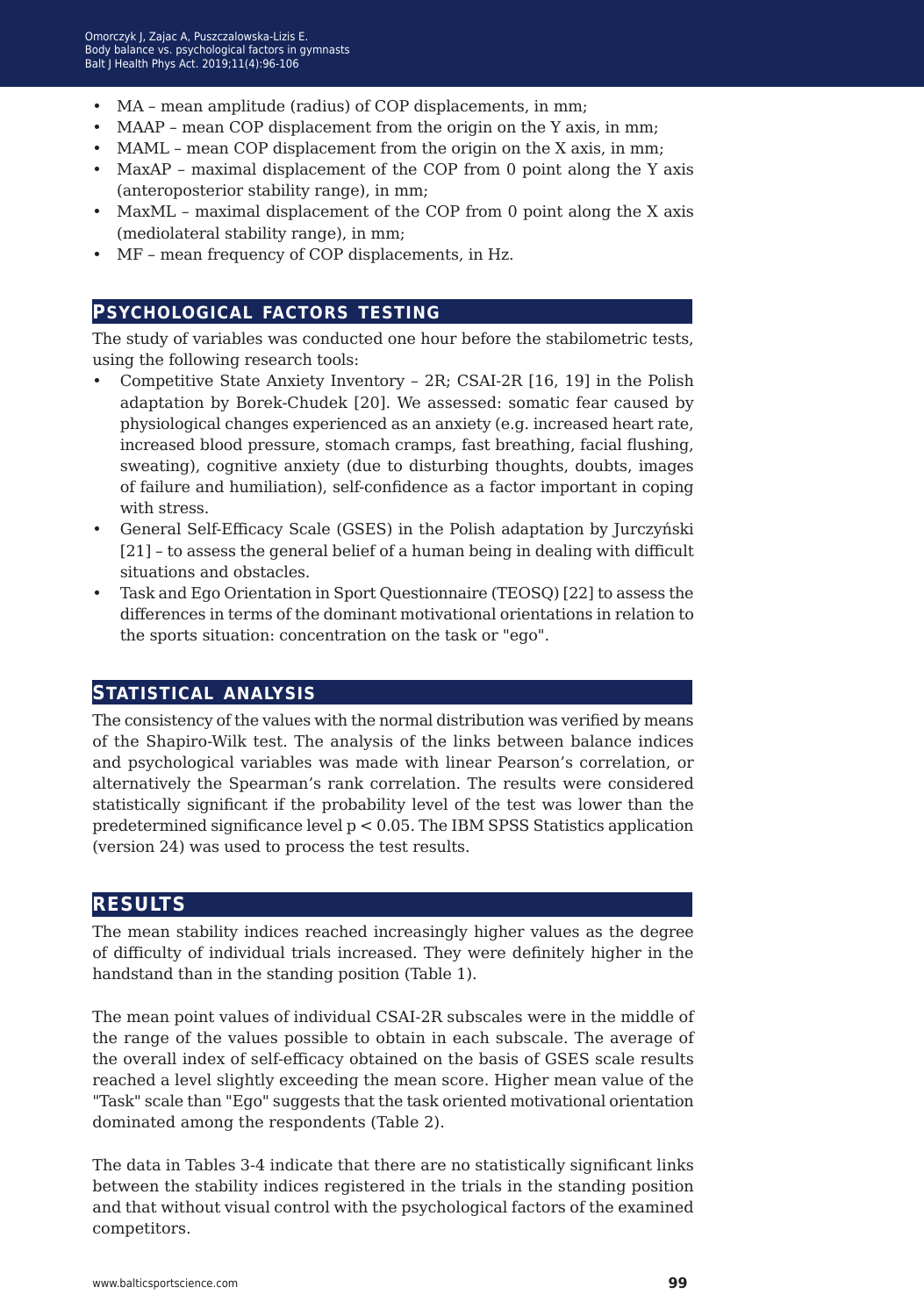- MA mean amplitude (radius) of COP displacements, in mm;
- MAAP mean COP displacement from the origin on the Y axis, in mm;
- MAML mean COP displacement from the origin on the X axis, in mm;
- MaxAP maximal displacement of the COP from 0 point along the Y axis (anteroposterior stability range), in mm;
- MaxML maximal displacement of the COP from 0 point along the X axis (mediolateral stability range), in mm;
- MF mean frequency of COP displacements, in Hz.

#### **psychological factors testing**

The study of variables was conducted one hour before the stabilometric tests, using the following research tools:

- Competitive State Anxiety Inventory 2R; CSAI-2R [16, 19] in the Polish adaptation by Borek-Chudek [20]. We assessed: somatic fear caused by physiological changes experienced as an anxiety (e.g. increased heart rate, increased blood pressure, stomach cramps, fast breathing, facial flushing, sweating), cognitive anxiety (due to disturbing thoughts, doubts, images of failure and humiliation), self-confidence as a factor important in coping with stress.
- General Self-Efficacy Scale (GSES) in the Polish adaptation by Jurczyński [21] – to assess the general belief of a human being in dealing with difficult situations and obstacles.
- Task and Ego Orientation in Sport Questionnaire (TEOSQ) [22] to assess the differences in terms of the dominant motivational orientations in relation to the sports situation: concentration on the task or "ego".

#### **statistical analysis**

The consistency of the values with the normal distribution was verified by means of the Shapiro-Wilk test. The analysis of the links between balance indices and psychological variables was made with linear Pearson's correlation, or alternatively the Spearman's rank correlation. The results were considered statistically significant if the probability level of the test was lower than the predetermined significance level  $p < 0.05$ . The IBM SPSS Statistics application (version 24) was used to process the test results.

#### **results**

The mean stability indices reached increasingly higher values as the degree of difficulty of individual trials increased. They were definitely higher in the handstand than in the standing position (Table 1).

The mean point values of individual CSAI-2R subscales were in the middle of the range of the values possible to obtain in each subscale. The average of the overall index of self-efficacy obtained on the basis of GSES scale results reached a level slightly exceeding the mean score. Higher mean value of the "Task" scale than "Ego" suggests that the task oriented motivational orientation dominated among the respondents (Table 2).

The data in Tables 3-4 indicate that there are no statistically significant links between the stability indices registered in the trials in the standing position and that without visual control with the psychological factors of the examined competitors.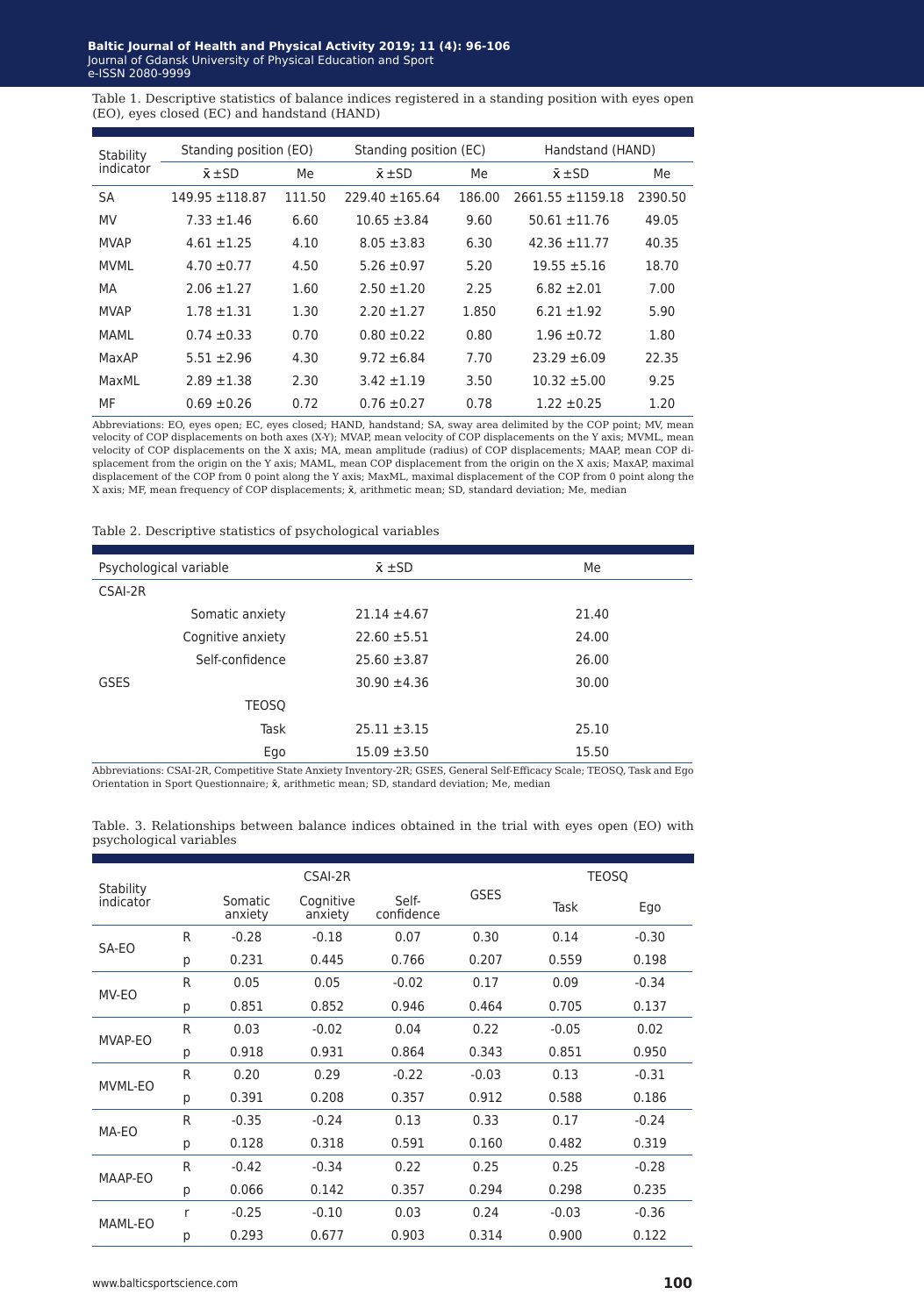**laltic Journal of Health and Physical Activity 2019; 11 (4): 96** Journal of Gdansk University of Physical Education and Sport e-ISSN 2080-9999 **Baltic Journal of Health and Physical Activity 2019; 11 (4): 96-106** Journal of Gdansk University of Physical Education and Sport e-ISSN 2080-9999

Table 1. Descriptive statistics of balance indices registered in a standing position with eyes open (EO), eyes closed (EC) and handstand (HAND)

| Stability<br>indicator | Standing position (EO) |        | Standing position (EC) |        | Handstand (HAND)      |         |  |
|------------------------|------------------------|--------|------------------------|--------|-----------------------|---------|--|
|                        | $\bar{x}$ ±SD          | Me     | $\bar{x}$ ±SD          | Me     | $\bar{x}$ ± SD        | Me      |  |
| SA                     | $149.95 + 118.87$      | 111.50 | $229.40 + 165.64$      | 186.00 | $2661.55 \pm 1159.18$ | 2390.50 |  |
| <b>MV</b>              | $7.33 \pm 1.46$        | 6.60   | $10.65 + 3.84$         | 9.60   | $50.61 + 11.76$       | 49.05   |  |
| <b>MVAP</b>            | $4.61 \pm 1.25$        | 4.10   | $8.05 \pm 3.83$        | 6.30   | $42.36 \pm 11.77$     | 40.35   |  |
| <b>MVML</b>            | $4.70 \pm 0.77$        | 4.50   | $5.26 \pm 0.97$        | 5.20   | $19.55 \pm 5.16$      | 18.70   |  |
| MA                     | $2.06 \pm 1.27$        | 1.60   | $2.50 \pm 1.20$        | 2.25   | $6.82 + 2.01$         | 7.00    |  |
| <b>MVAP</b>            | $1.78 \pm 1.31$        | 1.30   | $2.20 \pm 1.27$        | 1.850  | $6.21 \pm 1.92$       | 5.90    |  |
| MAMI                   | $0.74 \pm 0.33$        | 0.70   | $0.80 \pm 0.22$        | 0.80   | $1.96 \pm 0.72$       | 1.80    |  |
| MaxAP                  | $5.51 + 2.96$          | 4.30   | $9.72 \pm 6.84$        | 7.70   | $23.29 \pm 6.09$      | 22.35   |  |
| MaxMI                  | $2.89 + 1.38$          | 2.30   | $3.42 \pm 1.19$        | 3.50   | $10.32 + 5.00$        | 9.25    |  |
| MF                     | $0.69 \pm 0.26$        | 0.72   | $0.76 \pm 0.27$        | 0.78   | $1.22 \pm 0.25$       | 1.20    |  |

Abbreviations: EO, eyes open; EC, eyes closed; HAND, handstand; SA, sway area delimited by the COP point; MV, mean<br>velocity of COP displacements on both axes (X-Y); MVAP, mean velocity of COP displacements on the Y axis; M velocity of COP displacements on the X axis; MA, mean amplitude (radius) of COP displacements; MAAP, mean COP displacement from the origin on the Y axis; MAML, mean COP displacement from the origin on the X axis; MaxAP, maximal<br>displacement of the COP from 0 point along the Y axis; MaxML, maximal displacement of the COP from 0 point X axis; MF, mean frequency of COP displacements;  $\bar{x}$ , arithmetic mean; SD, standard deviation; Me, median

#### Table 2. Descriptive statistics of psychological variables

| Psychological variable | $\bar{x}$ $\pm$ SD | Me    |
|------------------------|--------------------|-------|
| CSAI-2R                |                    |       |
| Somatic anxiety        | $21.14 \pm 4.67$   | 21.40 |
| Cognitive anxiety      | $22.60 \pm 5.51$   | 24.00 |
| Self-confidence        | $25.60 \pm 3.87$   | 26.00 |
| <b>GSES</b>            | $30.90 \pm 4.36$   | 30.00 |
| <b>TEOSO</b>           |                    |       |
| Task                   | $25.11 \pm 3.15$   | 25.10 |
| Ego                    | $15.09 \pm 3.50$   | 15.50 |

Abbreviations: CSAI-2R, Competitive State Anxiety Inventory-2R; GSES, General Self-Efficacy Scale; TEOSQ, Task and Ego Orientation in Sport Questionnaire;  $\bar{x}$ , arithmetic mean; SD, standard deviation; Me, median

Table. 3. Relationships between balance indices obtained in the trial with eyes open (EO) with psychological variables

| Stability<br>indicator |   |                    | CSAI-2R              |                     |             | <b>TEOSO</b> |         |
|------------------------|---|--------------------|----------------------|---------------------|-------------|--------------|---------|
|                        |   | Somatic<br>anxiety | Cognitive<br>anxiety | Self-<br>confidence | <b>GSES</b> | Task         | Ego     |
| SA-EO                  | R | $-0.28$            | $-0.18$              | 0.07                | 0.30        | 0.14         | $-0.30$ |
|                        | р | 0.231              | 0.445                | 0.766               | 0.207       | 0.559        | 0.198   |
| MV-EO                  | R | 0.05               | 0.05                 | $-0.02$             | 0.17        | 0.09         | $-0.34$ |
|                        | р | 0.851              | 0.852                | 0.946               | 0.464       | 0.705        | 0.137   |
|                        | R | 0.03               | $-0.02$              | 0.04                | 0.22        | $-0.05$      | 0.02    |
| MVAP-EO                | р | 0.918              | 0.931                | 0.864               | 0.343       | 0.851        | 0.950   |
|                        | R | 0.20               | 0.29                 | $-0.22$             | $-0.03$     | 0.13         | $-0.31$ |
| MVML-EO                | р | 0.391              | 0.208                | 0.357               | 0.912       | 0.588        | 0.186   |
|                        | R | $-0.35$            | $-0.24$              | 0.13                | 0.33        | 0.17         | $-0.24$ |
| MA-EO                  | р | 0.128              | 0.318                | 0.591               | 0.160       | 0.482        | 0.319   |
|                        | R | $-0.42$            | $-0.34$              | 0.22                | 0.25        | 0.25         | $-0.28$ |
| MAAP-EO                | р | 0.066              | 0.142                | 0.357               | 0.294       | 0.298        | 0.235   |
| MAML-EO                | r | $-0.25$            | $-0.10$              | 0.03                | 0.24        | $-0.03$      | $-0.36$ |
|                        | р | 0.293              | 0.677                | 0.903               | 0.314       | 0.900        | 0.122   |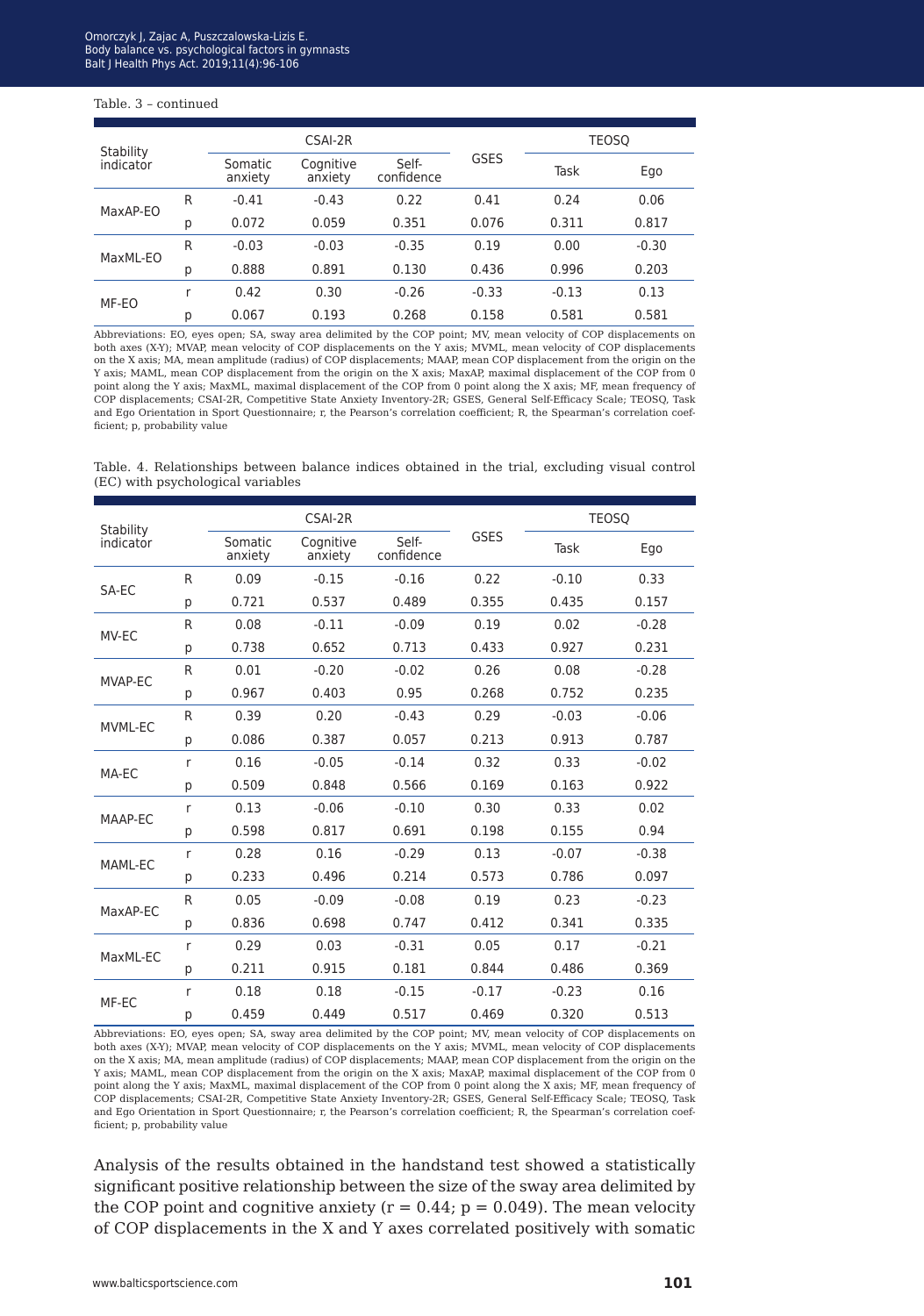#### Table. 3 – continued

|                        |   | CSAI-2R            |                      |                     |             | <b>TEOSO</b> |         |
|------------------------|---|--------------------|----------------------|---------------------|-------------|--------------|---------|
| Stability<br>indicator |   | Somatic<br>anxiety | Cognitive<br>anxiety | Self-<br>confidence | <b>GSES</b> | Task         | Ego     |
| MaxAP-EO               | R | $-0.41$            | $-0.43$              | 0.22                | 0.41        | 0.24         | 0.06    |
|                        | р | 0.072              | 0.059                | 0.351               | 0.076       | 0.311        | 0.817   |
| MaxML-EO               | R | $-0.03$            | $-0.03$              | $-0.35$             | 0.19        | 0.00         | $-0.30$ |
|                        | р | 0.888              | 0.891                | 0.130               | 0.436       | 0.996        | 0.203   |
| MF-EO                  | r | 0.42               | 0.30                 | $-0.26$             | $-0.33$     | $-0.13$      | 0.13    |
|                        | р | 0.067              | 0.193                | 0.268               | 0.158       | 0.581        | 0.581   |

Abbreviations: EO, eyes open; SA, sway area delimited by the COP point; MV, mean velocity of COP displacements on both axes (X-Y); MVAP, mean velocity of COP displacements on the Y axis; MVML, mean velocity of COP displacements on the X axis; MA, mean amplitude (radius) of COP displacements; MAAP, mean COP displacement from the origin on the Y axis; MAML, mean COP displacement from the origin on the X axis; MaxAP, maximal displacement of the COP from 0 point along the Y axis; MaxML, maximal displacement of the COP from 0 point along the X axis; MF, mean frequency of COP displacements; CSAI-2R, Competitive State Anxiety Inventory-2R; GSES, General Self-Efficacy Scale; TEOSQ, Task and Ego Orientation in Sport Questionnaire; r, the Pearson's correlation coefficient; R, the Spearman's correlation coefficient; p, probability value

Table. 4. Relationships between balance indices obtained in the trial, excluding visual control (EC) with psychological variables

| Stability |   |                    | CSAI-2R              |                     |             |         | <b>TEOSO</b> |
|-----------|---|--------------------|----------------------|---------------------|-------------|---------|--------------|
| indicator |   | Somatic<br>anxiety | Cognitive<br>anxiety | Self-<br>confidence | <b>GSES</b> | Task    | Ego          |
|           | R | 0.09               | $-0.15$              | $-0.16$             | 0.22        | $-0.10$ | 0.33         |
| SA-EC     | р | 0.721              | 0.537                | 0.489               | 0.355       | 0.435   | 0.157        |
| MV-EC     | R | 0.08               | $-0.11$              | $-0.09$             | 0.19        | 0.02    | $-0.28$      |
|           | p | 0.738              | 0.652                | 0.713               | 0.433       | 0.927   | 0.231        |
| MVAP-EC   | R | 0.01               | $-0.20$              | $-0.02$             | 0.26        | 0.08    | $-0.28$      |
|           | р | 0.967              | 0.403                | 0.95                | 0.268       | 0.752   | 0.235        |
| MVML-EC   | R | 0.39               | 0.20                 | $-0.43$             | 0.29        | $-0.03$ | $-0.06$      |
|           | p | 0.086              | 0.387                | 0.057               | 0.213       | 0.913   | 0.787        |
|           | r | 0.16               | $-0.05$              | $-0.14$             | 0.32        | 0.33    | $-0.02$      |
| MA-EC     | р | 0.509              | 0.848                | 0.566               | 0.169       | 0.163   | 0.922        |
|           | r | 0.13               | $-0.06$              | $-0.10$             | 0.30        | 0.33    | 0.02         |
| MAAP-EC   | р | 0.598              | 0.817                | 0.691               | 0.198       | 0.155   | 0.94         |
| MAML-EC   | r | 0.28               | 0.16                 | $-0.29$             | 0.13        | $-0.07$ | $-0.38$      |
|           | р | 0.233              | 0.496                | 0.214               | 0.573       | 0.786   | 0.097        |
|           | R | 0.05               | $-0.09$              | $-0.08$             | 0.19        | 0.23    | $-0.23$      |
| MaxAP-EC  | p | 0.836              | 0.698                | 0.747               | 0.412       | 0.341   | 0.335        |
|           | r | 0.29               | 0.03                 | $-0.31$             | 0.05        | 0.17    | $-0.21$      |
| MaxML-EC  | p | 0.211              | 0.915                | 0.181               | 0.844       | 0.486   | 0.369        |
|           | r | 0.18               | 0.18                 | $-0.15$             | $-0.17$     | $-0.23$ | 0.16         |
| MF-EC     | р | 0.459              | 0.449                | 0.517               | 0.469       | 0.320   | 0.513        |

Abbreviations: EO, eyes open; SA, sway area delimited by the COP point; MV, mean velocity of COP displacements on both axes (X-Y); MVAP, mean velocity of COP displacements on the Y axis; MVML, mean velocity of COP displacements on the X axis; MA, mean amplitude (radius) of COP displacements; MAAP, mean COP displacement from the origin on the Y axis; MAML, mean COP displacement from the origin on the X axis; MaxAP, maximal displacement of the COP from 0 point along the Y axis; MaxML, maximal displacement of the COP from 0 point along the X axis; MF, mean frequency of COP displacements; CSAI-2R, Competitive State Anxiety Inventory-2R; GSES, General Self-Efficacy Scale; TEOSQ, Task and Ego Orientation in Sport Questionnaire; r, the Pearson's correlation coefficient; R, the Spearman's correlation coefficient; p, probability value

Analysis of the results obtained in the handstand test showed a statistically significant positive relationship between the size of the sway area delimited by the COP point and cognitive anxiety ( $r = 0.44$ ;  $p = 0.049$ ). The mean velocity of COP displacements in the X and Y axes correlated positively with somatic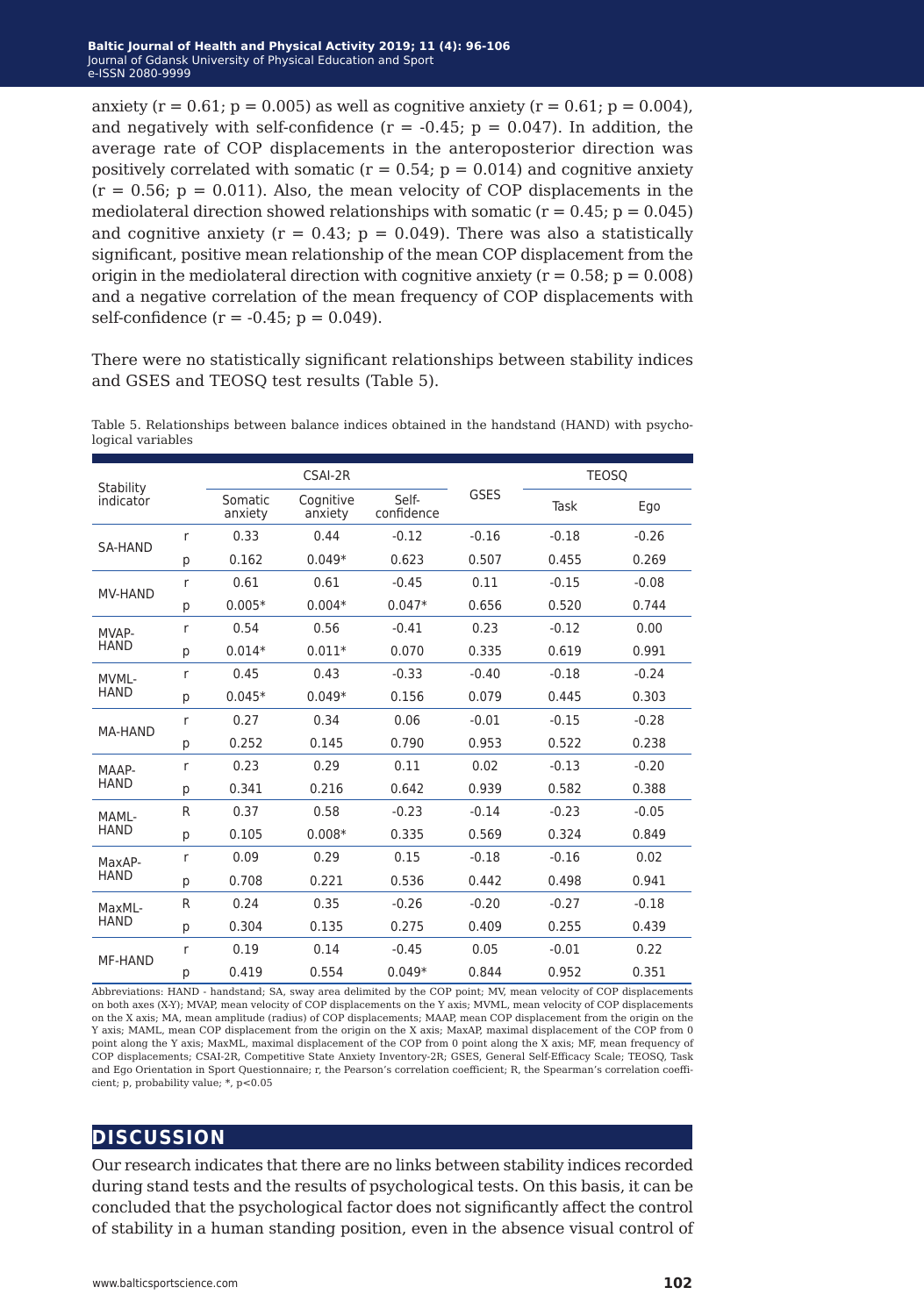anxiety ( $r = 0.61$ ;  $p = 0.005$ ) as well as cognitive anxiety ( $r = 0.61$ ;  $p = 0.004$ ), and negatively with self-confidence  $(r = -0.45; p = 0.047)$ . In addition, the average rate of COP displacements in the anteroposterior direction was positively correlated with somatic  $(r = 0.54; p = 0.014)$  and cognitive anxiety  $(r = 0.56; p = 0.011)$ . Also, the mean velocity of COP displacements in the mediolateral direction showed relationships with somatic ( $r = 0.45$ ;  $p = 0.045$ ) and cognitive anxiety ( $r = 0.43$ ;  $p = 0.049$ ). There was also a statistically significant, positive mean relationship of the mean COP displacement from the origin in the mediolateral direction with cognitive anxiety ( $r = 0.58$ ;  $p = 0.008$ ) and a negative correlation of the mean frequency of COP displacements with self-confidence  $(r = -0.45; p = 0.049)$ .

There were no statistically significant relationships between stability indices and GSES and TEOSQ test results (Table 5).

| Stability      |   |                    | CSAI-2R              |                     |         |         | <b>TEOSO</b> |
|----------------|---|--------------------|----------------------|---------------------|---------|---------|--------------|
| indicator      |   | Somatic<br>anxiety | Cognitive<br>anxiety | Self-<br>confidence | GSES    | Task    | Ego          |
|                | r | 0.33               | 0.44                 | $-0.12$             | $-0.16$ | $-0.18$ | $-0.26$      |
| SA-HAND        | p | 0.162              | $0.049*$             | 0.623               | 0.507   | 0.455   | 0.269        |
|                | r | 0.61               | 0.61                 | $-0.45$             | 0.11    | $-0.15$ | $-0.08$      |
| <b>MV-HAND</b> | p | $0.005*$           | $0.004*$             | $0.047*$            | 0.656   | 0.520   | 0.744        |
| MVAP-          | r | 0.54               | 0.56                 | $-0.41$             | 0.23    | $-0.12$ | 0.00         |
| <b>HAND</b>    | p | $0.014*$           | $0.011*$             | 0.070               | 0.335   | 0.619   | 0.991        |
| MVMI-          | r | 0.45               | 0.43                 | $-0.33$             | $-0.40$ | $-0.18$ | $-0.24$      |
| <b>HAND</b>    | p | $0.045*$           | $0.049*$             | 0.156               | 0.079   | 0.445   | 0.303        |
|                | r | 0.27               | 0.34                 | 0.06                | $-0.01$ | $-0.15$ | $-0.28$      |
| <b>MA-HAND</b> | p | 0.252              | 0.145                | 0.790               | 0.953   | 0.522   | 0.238        |
| MAAP-          | r | 0.23               | 0.29                 | 0.11                | 0.02    | $-0.13$ | $-0.20$      |
| <b>HAND</b>    | p | 0.341              | 0.216                | 0.642               | 0.939   | 0.582   | 0.388        |
| MAML-          | R | 0.37               | 0.58                 | $-0.23$             | $-0.14$ | $-0.23$ | $-0.05$      |
| <b>HAND</b>    | p | 0.105              | $0.008*$             | 0.335               | 0.569   | 0.324   | 0.849        |
| MaxAP-         | r | 0.09               | 0.29                 | 0.15                | $-0.18$ | $-0.16$ | 0.02         |
| <b>HAND</b>    | p | 0.708              | 0.221                | 0.536               | 0.442   | 0.498   | 0.941        |
| MaxML-         | R | 0.24               | 0.35                 | $-0.26$             | $-0.20$ | $-0.27$ | $-0.18$      |
| <b>HAND</b>    | p | 0.304              | 0.135                | 0.275               | 0.409   | 0.255   | 0.439        |
|                | r | 0.19               | 0.14                 | $-0.45$             | 0.05    | $-0.01$ | 0.22         |
| <b>MF-HAND</b> | р | 0.419              | 0.554                | $0.049*$            | 0.844   | 0.952   | 0.351        |

Table 5. Relationships between balance indices obtained in the handstand (HAND) with psychological variables

Abbreviations: HAND - handstand; SA, sway area delimited by the COP point; MV, mean velocity of COP displacements on both axes (X-Y); MVAP, mean velocity of COP displacements on the Y axis; MVML, mean velocity of COP displacements on the X axis; MA, mean amplitude (radius) of COP displacements; MAAP, mean COP displacement from the origin on the Y axis; MAML, mean COP displacement from the origin on the X axis; MaxAP, maximal displacement of the COP from 0 point along the Y axis; MaxML, maximal displacement of the COP from 0 point along the X axis; MF, mean frequency of COP displacements; CSAI-2R, Competitive State Anxiety Inventory-2R; GSES, General Self-Efficacy Scale; TEOSQ, Task and Ego Orientation in Sport Questionnaire; r, the Pearson's correlation coefficient; R, the Spearman's correlation coefficient; p, probability value; \*, p<0.05

#### **discussion**

Our research indicates that there are no links between stability indices recorded during stand tests and the results of psychological tests. On this basis, it can be concluded that the psychological factor does not significantly affect the control of stability in a human standing position, even in the absence visual control of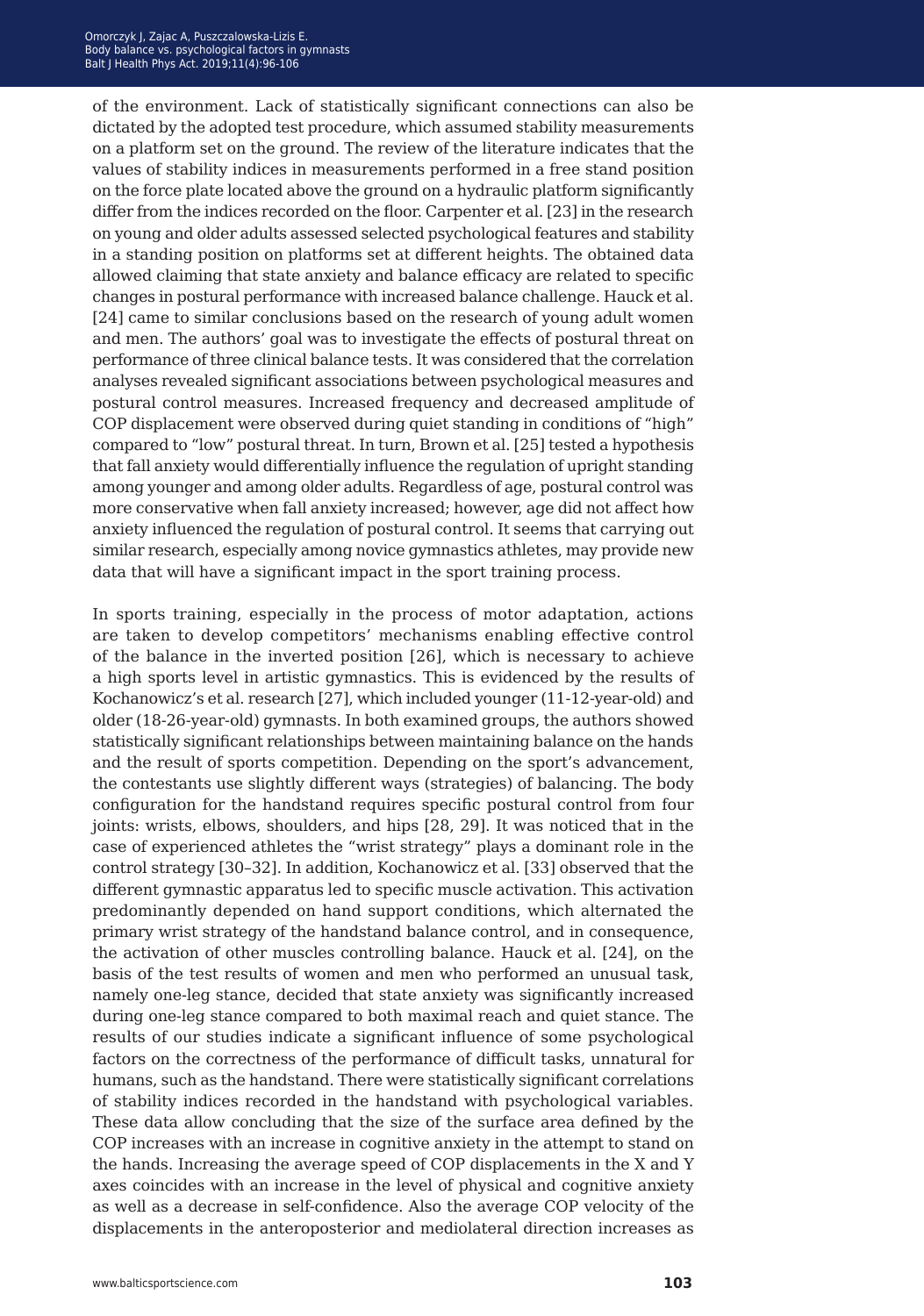of the environment. Lack of statistically significant connections can also be dictated by the adopted test procedure, which assumed stability measurements on a platform set on the ground. The review of the literature indicates that the values of stability indices in measurements performed in a free stand position on the force plate located above the ground on a hydraulic platform significantly differ from the indices recorded on the floor. Carpenter et al. [23] in the research on young and older adults assessed selected psychological features and stability in a standing position on platforms set at different heights. The obtained data allowed claiming that state anxiety and balance efficacy are related to specific changes in postural performance with increased balance challenge. Hauck et al. [24] came to similar conclusions based on the research of young adult women and men. The authors' goal was to investigate the effects of postural threat on performance of three clinical balance tests. It was considered that the correlation analyses revealed significant associations between psychological measures and postural control measures. Increased frequency and decreased amplitude of COP displacement were observed during quiet standing in conditions of "high" compared to "low" postural threat. In turn, Brown et al. [25] tested a hypothesis that fall anxiety would differentially influence the regulation of upright standing among younger and among older adults. Regardless of age, postural control was more conservative when fall anxiety increased; however, age did not affect how anxiety influenced the regulation of postural control. It seems that carrying out similar research, especially among novice gymnastics athletes, may provide new data that will have a significant impact in the sport training process.

In sports training, especially in the process of motor adaptation, actions are taken to develop competitors' mechanisms enabling effective control of the balance in the inverted position [26], which is necessary to achieve a high sports level in artistic gymnastics. This is evidenced by the results of Kochanowicz's et al. research [27], which included younger (11-12-year-old) and older (18-26-year-old) gymnasts. In both examined groups, the authors showed statistically significant relationships between maintaining balance on the hands and the result of sports competition. Depending on the sport's advancement, the contestants use slightly different ways (strategies) of balancing. The body configuration for the handstand requires specific postural control from four joints: wrists, elbows, shoulders, and hips [28, 29]. It was noticed that in the case of experienced athletes the "wrist strategy" plays a dominant role in the control strategy [30–32]. In addition, Kochanowicz et al. [33] observed that the different gymnastic apparatus led to specific muscle activation. This activation predominantly depended on hand support conditions, which alternated the primary wrist strategy of the handstand balance control, and in consequence, the activation of other muscles controlling balance. Hauck et al. [24], on the basis of the test results of women and men who performed an unusual task, namely one-leg stance, decided that state anxiety was significantly increased during one-leg stance compared to both maximal reach and quiet stance. The results of our studies indicate a significant influence of some psychological factors on the correctness of the performance of difficult tasks, unnatural for humans, such as the handstand. There were statistically significant correlations of stability indices recorded in the handstand with psychological variables. These data allow concluding that the size of the surface area defined by the COP increases with an increase in cognitive anxiety in the attempt to stand on the hands. Increasing the average speed of COP displacements in the X and Y axes coincides with an increase in the level of physical and cognitive anxiety as well as a decrease in self-confidence. Also the average COP velocity of the displacements in the anteroposterior and mediolateral direction increases as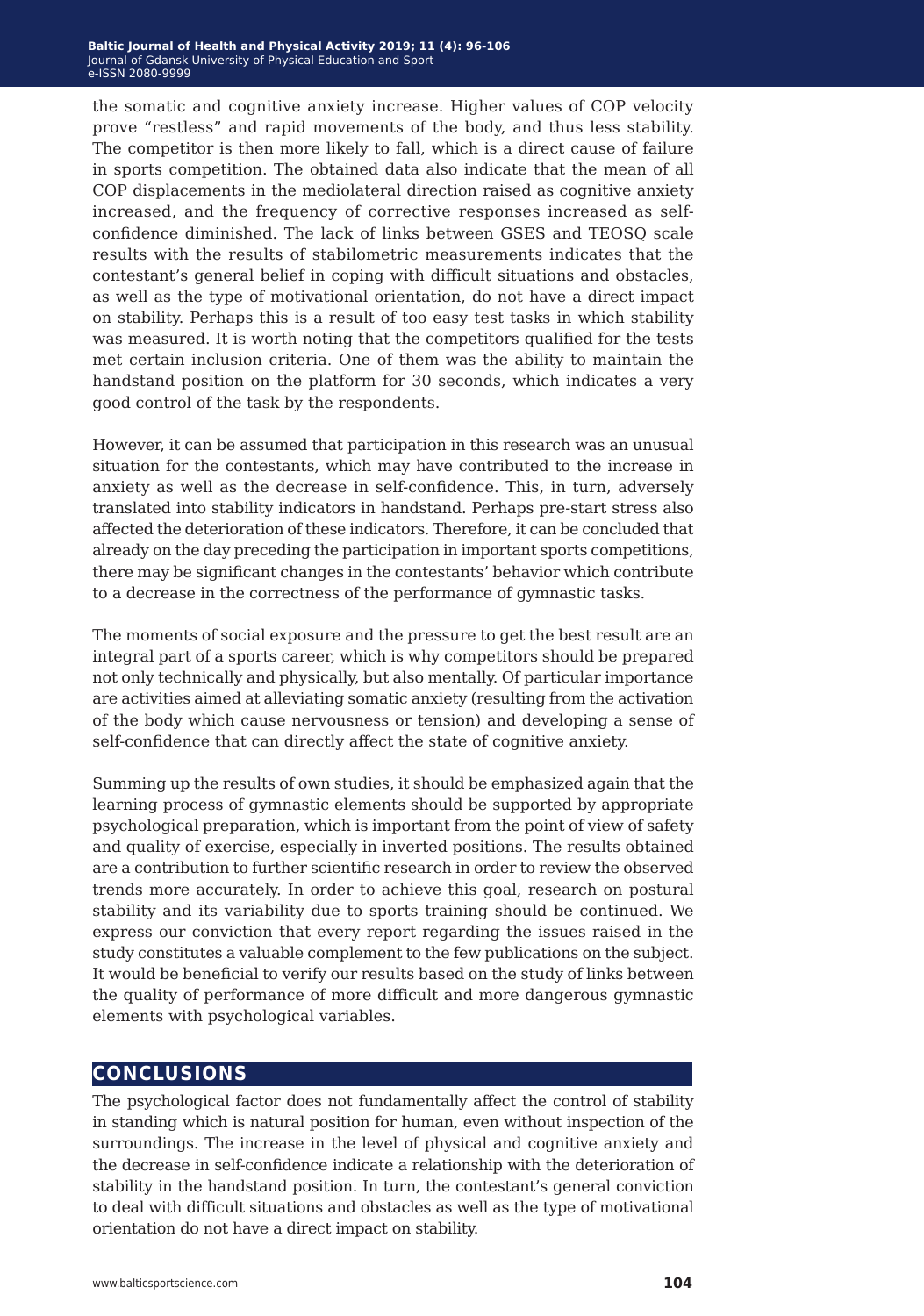the somatic and cognitive anxiety increase. Higher values of COP velocity prove "restless" and rapid movements of the body, and thus less stability. The competitor is then more likely to fall, which is a direct cause of failure in sports competition. The obtained data also indicate that the mean of all COP displacements in the mediolateral direction raised as cognitive anxiety increased, and the frequency of corrective responses increased as selfconfidence diminished. The lack of links between GSES and TEOSQ scale results with the results of stabilometric measurements indicates that the contestant's general belief in coping with difficult situations and obstacles, as well as the type of motivational orientation, do not have a direct impact on stability. Perhaps this is a result of too easy test tasks in which stability was measured. It is worth noting that the competitors qualified for the tests met certain inclusion criteria. One of them was the ability to maintain the handstand position on the platform for 30 seconds, which indicates a very good control of the task by the respondents.

However, it can be assumed that participation in this research was an unusual situation for the contestants, which may have contributed to the increase in anxiety as well as the decrease in self-confidence. This, in turn, adversely translated into stability indicators in handstand. Perhaps pre-start stress also affected the deterioration of these indicators. Therefore, it can be concluded that already on the day preceding the participation in important sports competitions, there may be significant changes in the contestants' behavior which contribute to a decrease in the correctness of the performance of gymnastic tasks.

The moments of social exposure and the pressure to get the best result are an integral part of a sports career, which is why competitors should be prepared not only technically and physically, but also mentally. Of particular importance are activities aimed at alleviating somatic anxiety (resulting from the activation of the body which cause nervousness or tension) and developing a sense of self-confidence that can directly affect the state of cognitive anxiety.

Summing up the results of own studies, it should be emphasized again that the learning process of gymnastic elements should be supported by appropriate psychological preparation, which is important from the point of view of safety and quality of exercise, especially in inverted positions. The results obtained are a contribution to further scientific research in order to review the observed trends more accurately. In order to achieve this goal, research on postural stability and its variability due to sports training should be continued. We express our conviction that every report regarding the issues raised in the study constitutes a valuable complement to the few publications on the subject. It would be beneficial to verify our results based on the study of links between the quality of performance of more difficult and more dangerous gymnastic elements with psychological variables.

#### **conclusions**

The psychological factor does not fundamentally affect the control of stability in standing which is natural position for human, even without inspection of the surroundings. The increase in the level of physical and cognitive anxiety and the decrease in self-confidence indicate a relationship with the deterioration of stability in the handstand position. In turn, the contestant's general conviction to deal with difficult situations and obstacles as well as the type of motivational orientation do not have a direct impact on stability.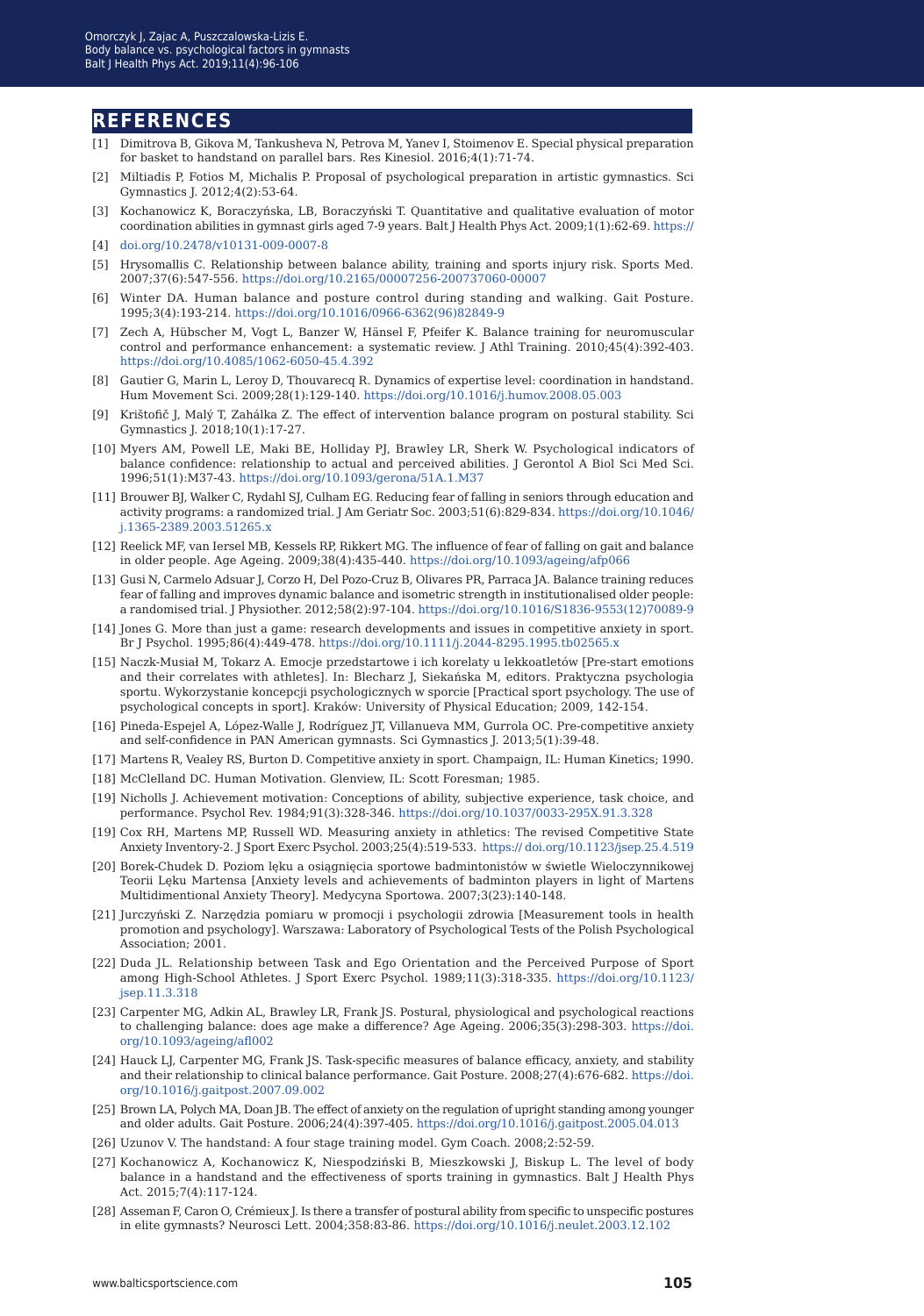#### **references**

- [1] Dimitrova B, Gikova M, Tankusheva N, Petrova M, Yanev I, Stoimenov E. Special physical preparation for basket to handstand on parallel bars. Res Kinesiol. 2016;4(1):71-74.
- [2] Miltiadis P, Fotios M, Michalis P. Proposal of psychological preparation in artistic gymnastics. Sci Gymnastics J. 2012;4(2):53-64.
- [3] Kochanowicz K, Boraczyńska, LB, Boraczyński T. Quantitative and qualitative evaluation of motor coordination abilities in gymnast girls aged 7-9 years. Balt J Health Phys Act. 2009;1(1):62-69. [https://](https://
doi.org/10.2478/v10131-009-0007-8)
- [4] [doi.org/10.2478/v10131-009-0007-8](https://
doi.org/10.2478/v10131-009-0007-8)
- [5] Hrysomallis C. Relationship between balance ability, training and sports injury risk. Sports Med. 2007;37(6):547-556. <https://doi.org/10.2165/00007256-200737060-00007>
- [6] Winter DA. Human balance and posture control during standing and walking. Gait Posture. 1995;3(4):193-214. [https://doi.org/10.1016/0966-6362\(96\)82849-9](https://doi.org/10.1016/0966-6362(96)82849-9)
- [7] Zech A, Hübscher M, Vogt L, Banzer W, Hänsel F, Pfeifer K. Balance training for neuromuscular control and performance enhancement: a systematic review. J Athl Training. 2010;45(4):392-403. <https://doi.org/10.4085/1062-6050-45.4.392>
- [8] Gautier G, Marin L, Leroy D, Thouvarecq R. Dynamics of expertise level: coordination in handstand. Hum Movement Sci. 2009;28(1):129-140.<https://doi.org/10.1016/j.humov.2008.05.003>
- [9] Krištofič J, Malý T, Zahálka Z. The effect of intervention balance program on postural stability. Sci Gymnastics J. 2018;10(1):17-27.
- [10] Myers AM, Powell LE, Maki BE, Holliday PJ, Brawley LR, Sherk W. Psychological indicators of balance confidence: relationship to actual and perceived abilities. J Gerontol A Biol Sci Med Sci. 1996;51(1):M37-43. <https://doi.org/10.1093/gerona/51A.1.M37>
- [11] Brouwer BJ, Walker C, Rydahl SJ, Culham EG. Reducing fear of falling in seniors through education and activity programs: a randomized trial. J Am Geriatr Soc. 2003;51(6):829-834. [https://doi.org/10.1046/](https://doi.org/10.1046/j.1365-2389.2003.51265.x
) [j.1365-2389.2003.51265.x](https://doi.org/10.1046/j.1365-2389.2003.51265.x
)
- [12] Reelick MF, van Iersel MB, Kessels RP, Rikkert MG. The influence of fear of falling on gait and balance in older people. Age Ageing. 2009;38(4):435-440. <https://doi.org/10.1093/ageing/afp066>
- [13] Gusi N, Carmelo Adsuar J, Corzo H, Del Pozo-Cruz B, Olivares PR, Parraca JA. Balance training reduces fear of falling and improves dynamic balance and isometric strength in institutionalised older people: a randomised trial. J Physiother. 2012;58(2):97-104. [https://doi.org/10.1016/S1836-9553\(12\)70089-9](https://doi.org/10.1016/S1836-9553(12)70089-9
)
- [14] Jones G. More than just a game: research developments and issues in competitive anxiety in sport. Br J Psychol. 1995;86(4):449-478. <https://doi.org/10.1111/j.2044-8295.1995.tb02565.x>
- [15] Naczk-Musiał M, Tokarz A. Emocje przedstartowe i ich korelaty u lekkoatletów [Pre-start emotions and their correlates with athletes]. In: Blecharz J, Siekańska M, editors. Praktyczna psychologia sportu. Wykorzystanie koncepcji psychologicznych w sporcie [Practical sport psychology. The use of psychological concepts in sport]. Kraków: University of Physical Education; 2009, 142-154.
- [16] Pineda-Espejel A, López-Walle J, Rodríguez JT, Villanueva MM, Gurrola OC. Pre-competitive anxiety and self-confidence in PAN American gymnasts. Sci Gymnastics J. 2013;5(1):39-48.
- [17] Martens R, Vealey RS, Burton D. Competitive anxiety in sport. Champaign, IL: Human Kinetics; 1990.
- [18] McClelland DC. Human Motivation. Glenview, IL: Scott Foresman; 1985.
- [19] Nicholls J. Achievement motivation: Conceptions of ability, subjective experience, task choice, and performance. Psychol Rev. 1984;91(3):328-346. <https://doi.org/10.1037/0033-295X.91.3.328>
- [19] Cox RH, Martens MP, Russell WD. Measuring anxiety in athletics: The revised Competitive State Anxiety Inventory-2. J Sport Exerc Psychol. 2003;25(4):519-533. [https:// doi.org/10.1123/jsep.25.4.519](https:// doi.org/10.1123/jsep.25.4.519 https://doi.org/10.1123/jsep.25.4.519
)
- [20] Borek-Chudek D. Poziom lęku a osiągnięcia sportowe badmintonistów w świetle Wieloczynnikowej Teorii Lęku Martensa [Anxiety levels and achievements of badminton players in light of Martens Multidimentional Anxiety Theory]. Medycyna Sportowa. 2007;3(23):140-148.
- [21] Jurczyński Z. Narzędzia pomiaru w promocji i psychologii zdrowia [Measurement tools in health promotion and psychology]. Warszawa: Laboratory of Psychological Tests of the Polish Psychological Association; 2001.
- [22] Duda JL. Relationship between Task and Ego Orientation and the Perceived Purpose of Sport among High-School Athletes. J Sport Exerc Psychol. 1989;11(3):318-335. [https://doi.org/10.1123/](https://doi.org/10.1123/jsep.11.3.318
) [jsep.11.3.318](https://doi.org/10.1123/jsep.11.3.318
)
- [23] Carpenter MG, Adkin AL, Brawley LR, Frank JS. Postural, physiological and psychological reactions to challenging balance: does age make a difference? Age Ageing. 2006;35(3):298-303. [https://doi.](https://doi.org/10.1093/ageing/afl002
) [org/10.1093/ageing/afl002](https://doi.org/10.1093/ageing/afl002
)
- [24] Hauck LJ, Carpenter MG, Frank JS. Task-specific measures of balance efficacy, anxiety, and stability and their relationship to clinical balance performance. Gait Posture. 2008;27(4):676-682. [https://doi.](https://doi.org/10.1016/j.gaitpost.2007.09.002) [org/10.1016/j.gaitpost.2007.09.002](https://doi.org/10.1016/j.gaitpost.2007.09.002)
- [25] Brown LA, Polych MA, Doan JB. The effect of anxiety on the regulation of upright standing among younger and older adults. Gait Posture. 2006;24(4):397-405. [https://doi.org/10.1016/j.gaitpost.2005.04.013](https://doi.org/10.1016/j.gaitpost.2005.04.013
)
- [26] Uzunov V. The handstand: A four stage training model. Gym Coach. 2008;2:52-59.
- [27] Kochanowicz A, Kochanowicz K, Niespodziński B, Mieszkowski J, Biskup L. The level of body balance in a handstand and the effectiveness of sports training in gymnastics. Balt J Health Phys Act. 2015;7(4):117-124.
- [28] Asseman F, Caron O, Crémieux J. Is there a transfer of postural ability from specific to unspecific postures in elite gymnasts? Neurosci Lett. 2004;358:83-86. <https://doi.org/10.1016/j.neulet.2003.12.102>